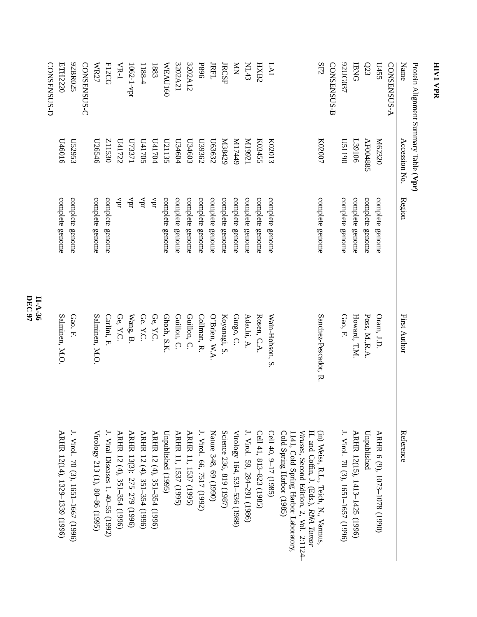| Protein Alignment Summary Table (Vpr) |               |                   |                     |                                                                                                                         |
|---------------------------------------|---------------|-------------------|---------------------|-------------------------------------------------------------------------------------------------------------------------|
| Name                                  | Accession No  | Region            | First Author        | Reference                                                                                                               |
| <b>CONSENSUS-A</b>                    |               |                   |                     |                                                                                                                         |
| L455                                  | M62320        | complete genome   | Oram, J.D.          | ARHR 6 (9), 1073-1078 (1990)                                                                                            |
| $\Omega$ 3                            | AF004885      | complete genome   | Poss, M.R.A         | Unpublished                                                                                                             |
| <b>BNG</b>                            | <b>L39106</b> | complete genome   | Howard, T.M         | ARHR 12(15), 1413-1425 (1996)                                                                                           |
| 92UG037                               | 061150        | complete genome   | Gao, F.             | J. Virol. 70 (3), 1651-1657 (1996)                                                                                      |
| CONSENSUS-B                           |               |                   |                     |                                                                                                                         |
| SF2                                   | K02007        | complete genome   | Sanchez-Pescador, R | (in) Weiss, R.L., Teich, N., Varmus,<br>Viruses, Second Edition, 2, Vol. 2:1124-<br>H. and Coffin, J. (Eds.), RNA Tumor |
|                                       |               |                   |                     | Cold Spring Harbor (1985)<br>1141, Cold Spring Harbor Laboratory,                                                       |
| <b>LAI</b>                            | K02013        | complete genome   | Wain-Hobson, S      | Cell 40, 9-17 (1985)                                                                                                    |
| HXB2                                  | K03455        | complete genome   | Rosen, C.A.         | Cell 41, 813-823 (1985)                                                                                                 |
| M143                                  | IZ661M        | complete genome   | Adachi, A.          | J. Virol. 59, 284–291 (1986)                                                                                            |
| $\sum_{i=1}^{n}$                      | 6ttLIM        | complete genome   | Gurgo, C.           | Virology 164, 531-536 (1988)                                                                                            |
| <b>JRCSF</b>                          | N38429        | complete genome   | Koyanagi, S.        | Science 236, 819 (1987)                                                                                                 |
| <b>JRFL</b>                           | L63632        | complete genome   | O'Brien, W.A.       | Nature 348, 69 (1990)                                                                                                   |
| <b>P896</b>                           | L39362        | complete genome   | Collman, R.         | J. Virol. 66, 7517 (1992)                                                                                               |
| 3202A12                               | L134603       | complete genome   | Guillon, C.         | ARHR 11, 1537 (1995)                                                                                                    |
| 3202A21                               | L34604        | complete genome   | Guillon, C.         | ARHR 11, 1537 (1995)                                                                                                    |
| <b>WEAU160</b>                        | L21135        | complete genome   | Ghosh, S.K          | Unpublished (1995)                                                                                                      |
| 1883                                  | <b>L41704</b> | чpт               | Ge, $\rm Y.C.$      | ARHR 12 (4), 351-354 (1996)                                                                                             |
| 1188-4                                | S021t0        | $\Lambda \rm{pt}$ | Ge, Y.C.            | ARHR 12 (4), 351-354 (1996)                                                                                             |
| 1062-1-vpr                            | U73371        | Apr               | Wang, B.            | ARHR 13(3): 275-279 (1996)                                                                                              |
| $VR-1$                                | L11722        | Apr               | Ge, $\Upsilon C$    | ARHR 12 (4), 351-354 (1996)                                                                                             |
| F12CG                                 | <b>Z11530</b> | complete genome   | Carlini, F          | J. Viral Diseases 1, 40-55 (1992)                                                                                       |
| WR27                                  | U26546        | complete genome   | Salminen, M.O.      | Virology 213 (1), 80–86 (1995)                                                                                          |
| CONSENSUS-C                           |               |                   |                     |                                                                                                                         |
| 92BR025                               | L52953        | complete genome   | Gao, F.             | J. Virol. 70 (3), 1651–1667 (1996)                                                                                      |
| ETH2220                               | 0109tQ        | complete genome   | Salminen, M.O.      | ARHR 12(14), 1329-1339 (1996)                                                                                           |
| CONSENSUS-D                           |               |                   |                     |                                                                                                                         |

**DEC 97 II-A-36**

**HIV1**

 **VPR**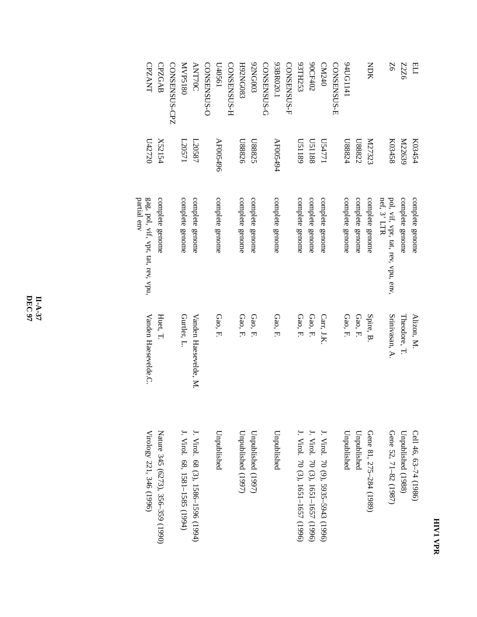## **HIV1 VPR**

| ELI                | K03454        | complete genome                             | Alizon, M.            | Cell 46, 63-74 (1986)              |
|--------------------|---------------|---------------------------------------------|-----------------------|------------------------------------|
| 9ZZZ               | M22639        | complete genome                             | Theodore, T.          | Unpublished (1988)                 |
| 9Z                 | K03458        | pol, vif, vpr, tat, rev, vpu, env, $\alpha$ | Srinivasan, A.        | Gene 52, 71-82 (1987)              |
| <b>NDK</b>         | <b>N27323</b> | complete genome                             | Spire, B.             | Gene 81, 275–284 (1989)            |
|                    | L88822        | complete genome                             | Gao, F.               | Unpublished                        |
| 171191176          | L88824        | complete genome                             | Gao, F.               | Unpublished                        |
| CONSENSUS-E        |               |                                             |                       |                                    |
| CM240              | U54771        | complete genome                             | Carr, J.K.            | J. Virol. 70 (9), 5935–5943 (1996) |
| 90CF402            | <b>U51188</b> | complete genome                             | Gao, F.               | J. Virol. 70 (3), 1651–1657 (1996) |
| 93TH253            | 6811SQ        | complete genome                             | Gao, F.               | J. Virol. 70 (3), 1651–1657 (1996) |
| CONSENSUS-F        |               |                                             |                       |                                    |
| 93BR020.1          | AF005494      | complete genome                             | Gao, F.               | Unpublished                        |
| CONSENSUS-G        |               |                                             |                       |                                    |
| 62NG003            | U88825        | complete genome                             | Gao, F.               | Unpublished (1997)                 |
| E80DNZ6H           | <b>U88826</b> | complete genome                             | Gao, F.               | Unpublished (1997)                 |
| <b>CONSENSUS-H</b> |               |                                             |                       |                                    |
| L95040             | AF005496      | complete genome                             | Gao, F.               | Unpublished                        |
| CONSENSUS-C        |               |                                             |                       |                                    |
| <b>ANT70C</b>      | L20587        | complete genome                             | Vanden Haesevelde, M. | J. Virol. 68 (3), 1586–1596 (1994) |
| <b>MVP5180</b>     | L20571        | complete genome                             | Gurtler, L.           | J. Virol. 68, 1581–1585 (1994)     |
| CONSENSUS-CPZ      |               |                                             |                       |                                    |
| <b>CPZGAB</b>      | X52154        | complete genome                             | Huet, T.              | Nature 345 (6273), 356–359 (1990)  |
| <b>CPZANT</b>      | U42720        | gag, pol, vif, vpr, tat, rev, vpu,          | Vanden Haesevelde.C.  | Virology 221, 346 (1996)           |
|                    |               | partial env                                 |                       |                                    |